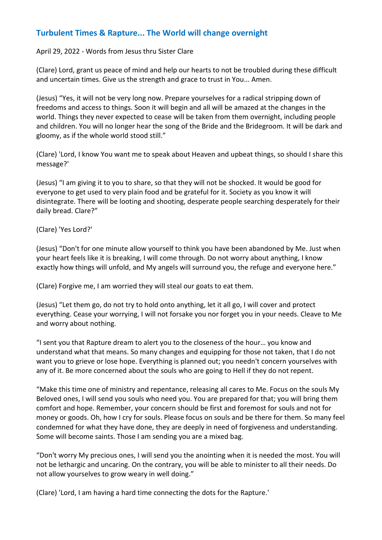## **Turbulent Times & Rapture... The World will change overnight**

## April 29, 2022 - Words from Jesus thru Sister Clare

(Clare) Lord, grant us peace of mind and help our hearts to not be troubled during these difficult and uncertain times. Give us the strength and grace to trust in You... Amen.

(Jesus) "Yes, it will not be very long now. Prepare yourselves for a radical stripping down of freedoms and access to things. Soon it will begin and all will be amazed at the changes in the world. Things they never expected to cease will be taken from them overnight, including people and children. You will no longer hear the song of the Bride and the Bridegroom. It will be dark and gloomy, as if the whole world stood still."

(Clare) 'Lord, I know You want me to speak about Heaven and upbeat things, so should I share this message?'

(Jesus) "I am giving it to you to share, so that they will not be shocked. It would be good for everyone to get used to very plain food and be grateful for it. Society as you know it will disintegrate. There will be looting and shooting, desperate people searching desperately for their daily bread. Clare?"

(Clare) 'Yes Lord?'

(Jesus) "Don't for one minute allow yourself to think you have been abandoned by Me. Just when your heart feels like it is breaking, I will come through. Do not worry about anything, I know exactly how things will unfold, and My angels will surround you, the refuge and everyone here."

(Clare) Forgive me, I am worried they will steal our goats to eat them.

(Jesus) "Let them go, do not try to hold onto anything, let it all go, I will cover and protect everything. Cease your worrying, I will not forsake you nor forget you in your needs. Cleave to Me and worry about nothing.

"I sent you that Rapture dream to alert you to the closeness of the hour… you know and understand what that means. So many changes and equipping for those not taken, that I do not want you to grieve or lose hope. Everything is planned out; you needn't concern yourselves with any of it. Be more concerned about the souls who are going to Hell if they do not repent.

"Make this time one of ministry and repentance, releasing all cares to Me. Focus on the souls My Beloved ones, I will send you souls who need you. You are prepared for that; you will bring them comfort and hope. Remember, your concern should be first and foremost for souls and not for money or goods. Oh, how I cry for souls. Please focus on souls and be there for them. So many feel condemned for what they have done, they are deeply in need of forgiveness and understanding. Some will become saints. Those I am sending you are a mixed bag.

"Don't worry My precious ones, I will send you the anointing when it is needed the most. You will not be lethargic and uncaring. On the contrary, you will be able to minister to all their needs. Do not allow yourselves to grow weary in well doing."

(Clare) 'Lord, I am having a hard time connecting the dots for the Rapture.'